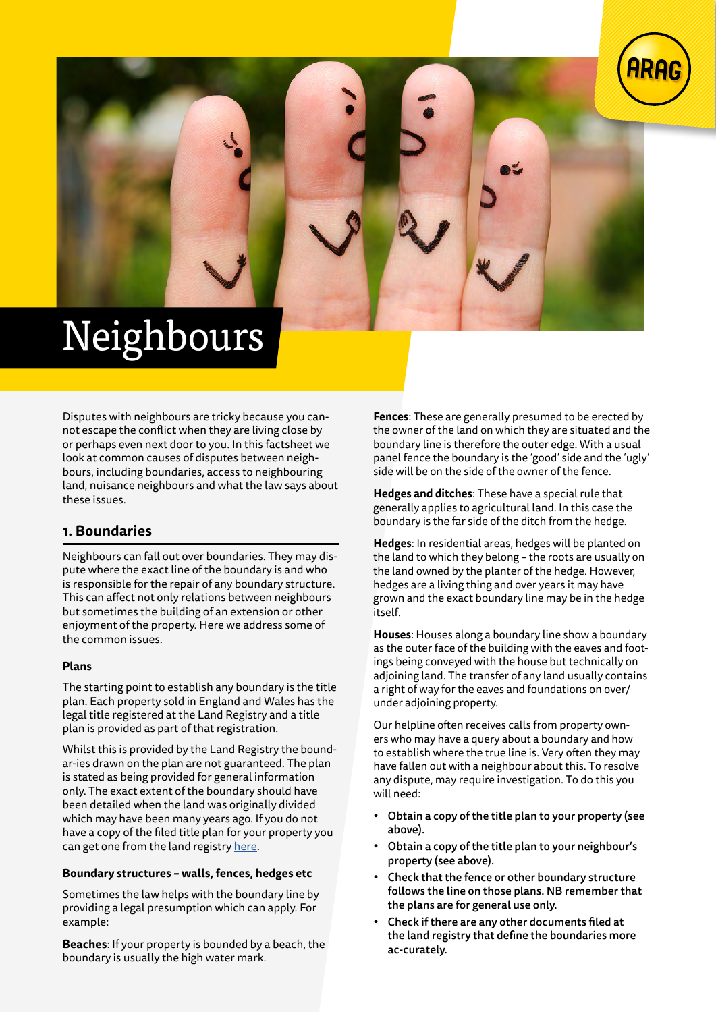



Disputes with neighbours are tricky because you cannot escape the conflict when they are living close by or perhaps even next door to you. In this factsheet we look at common causes of disputes between neighbours, including boundaries, access to neighbouring land, nuisance neighbours and what the law says about these issues.

# **1. Boundaries**

Neighbours can fall out over boundaries. They may dispute where the exact line of the boundary is and who is responsible for the repair of any boundary structure. This can affect not only relations between neighbours but sometimes the building of an extension or other enjoyment of the property. Here we address some of the common issues.

## **Plans**

The starting point to establish any boundary is the title plan. Each property sold in England and Wales has the legal title registered at the Land Registry and a title plan is provided as part of that registration.

Whilst this is provided by the Land Registry the boundar-ies drawn on the plan are not guaranteed. The plan is stated as being provided for general information only. The exact extent of the boundary should have been detailed when the land was originally divided which may have been many years ago. If you do not have a copy of the filed title plan for your property you can get one from the land registry [here.](https://eservices.landregistry.gov.uk/eservices/FindAProperty/view/QuickEnquiryInit.do)

## **Boundary structures – walls, fences, hedges etc**

Sometimes the law helps with the boundary line by providing a legal presumption which can apply. For example:

**Beaches**: If your property is bounded by a beach, the boundary is usually the high water mark.

**Fences**: These are generally presumed to be erected by the owner of the land on which they are situated and the boundary line is therefore the outer edge. With a usual panel fence the boundary is the 'good' side and the 'ugly' side will be on the side of the owner of the fence.

**Hedges and ditches**: These have a special rule that generally applies to agricultural land. In this case the boundary is the far side of the ditch from the hedge.

**Hedges**: In residential areas, hedges will be planted on the land to which they belong – the roots are usually on the land owned by the planter of the hedge. However, hedges are a living thing and over years it may have grown and the exact boundary line may be in the hedge itself.

**Houses**: Houses along a boundary line show a boundary as the outer face of the building with the eaves and footings being conveyed with the house but technically on adjoining land. The transfer of any land usually contains a right of way for the eaves and foundations on over/ under adjoining property.

Our helpline often receives calls from property owners who may have a query about a boundary and how to establish where the true line is. Very often they may have fallen out with a neighbour about this. To resolve any dispute, may require investigation. To do this you will need:

- Obtain a copy of the title plan to your property (see above).
- Obtain a copy of the title plan to your neighbour's property (see above).
- Check that the fence or other boundary structure follows the line on those plans. NB remember that the plans are for general use only.
- Check if there are any other documents filed at the land registry that define the boundaries more ac-curately.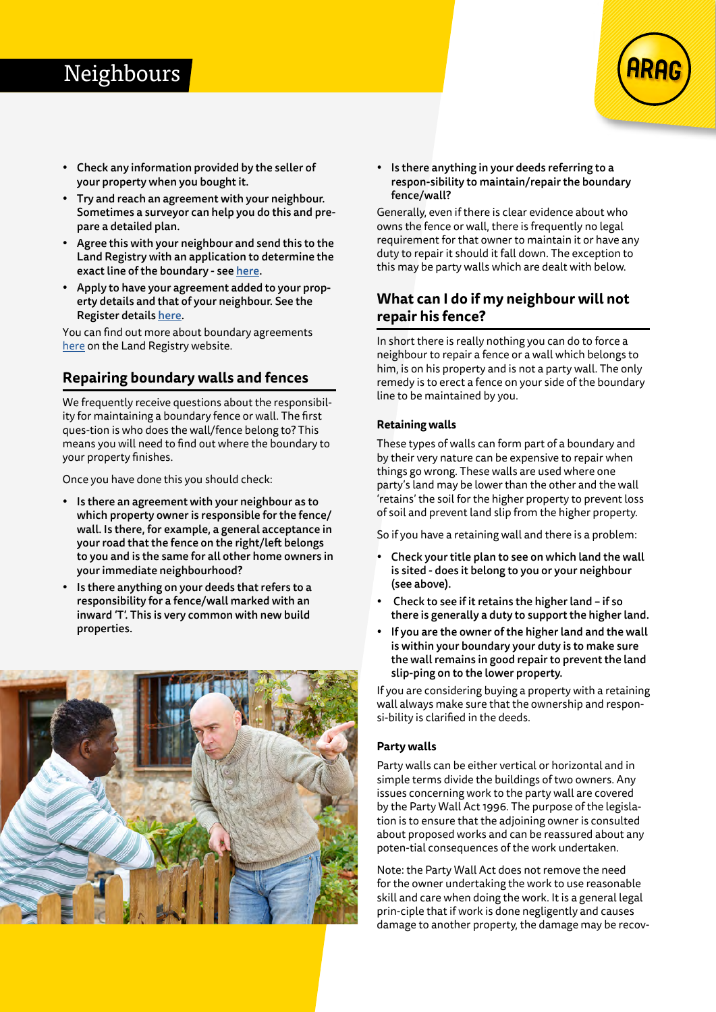# **Neighbours**

- Check any information provided by the seller of your property when you bought it.
- Try and reach an agreement with your neighbour. Sometimes a surveyor can help you do this and prepare a detailed plan.
- Agree this with your neighbour and send this to the Land Registry with an application to determine the exact line of the boundary - see [here.](https://www.gov.uk/government/publications/exact-line-of-boundary-registration-db)
- Apply to have your agreement added to your property details and that of your neighbour. See the Register details [here.](https://www.gov.uk/government/publications/change-the-register-ap1)

You can find out more about boundary agreements [here](https://www.gov.uk/government/publications/boundary-agreements-and-determined-boundaries) on the Land Registry website.

# **Repairing boundary walls and fences**

We frequently receive questions about the responsibility for maintaining a boundary fence or wall. The first ques-tion is who does the wall/fence belong to? This means you will need to find out where the boundary to your property finishes.

Once you have done this you should check:

- Is there an agreement with your neighbour as to which property owner is responsible for the fence/ wall. Is there, for example, a general acceptance in your road that the fence on the right/left belongs to you and is the same for all other home owners in your immediate neighbourhood?
- Is there anything on your deeds that refers to a responsibility for a fence/wall marked with an inward 'T'. This is very common with new build properties.



• Is there anything in your deeds referring to a respon-sibility to maintain/repair the boundary fence/wall?

Generally, even if there is clear evidence about who owns the fence or wall, there is frequently no legal requirement for that owner to maintain it or have any duty to repair it should it fall down. The exception to this may be party walls which are dealt with below.

# **What can I do if my neighbour will not repair his fence?**

In short there is really nothing you can do to force a neighbour to repair a fence or a wall which belongs to him, is on his property and is not a party wall. The only remedy is to erect a fence on your side of the boundary line to be maintained by you.

## **Retaining walls**

These types of walls can form part of a boundary and by their very nature can be expensive to repair when things go wrong. These walls are used where one party's land may be lower than the other and the wall 'retains' the soil for the higher property to prevent loss of soil and prevent land slip from the higher property.

So if you have a retaining wall and there is a problem:

- Check your title plan to see on which land the wall is sited - does it belong to you or your neighbour (see above).
- Check to see if it retains the higher land if so there is generally a duty to support the higher land.
- If you are the owner of the higher land and the wall is within your boundary your duty is to make sure the wall remains in good repair to prevent the land slip-ping on to the lower property.

If you are considering buying a property with a retaining wall always make sure that the ownership and responsi-bility is clarified in the deeds.

### **Party walls**

Party walls can be either vertical or horizontal and in simple terms divide the buildings of two owners. Any issues concerning work to the party wall are covered by the Party Wall Act 1996. The purpose of the legislation is to ensure that the adjoining owner is consulted about proposed works and can be reassured about any poten-tial consequences of the work undertaken.

Note: the Party Wall Act does not remove the need for the owner undertaking the work to use reasonable skill and care when doing the work. It is a general legal prin-ciple that if work is done negligently and causes damage to another property, the damage may be recov-

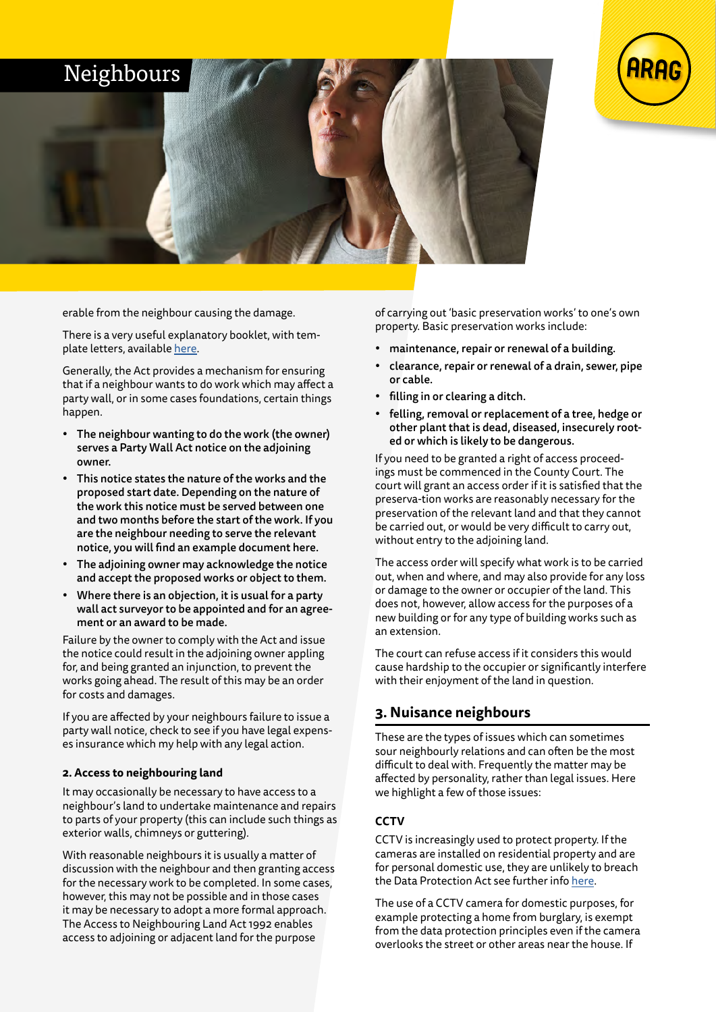



erable from the neighbour causing the damage.

There is a very useful explanatory booklet, with template letters, available [here.](https://www.gov.uk/government/publications/preventing-and-resolving-disputes-in-relation-to-party-walls/the-party-wall-etc-act-1996-explanatory-booklet)

Generally, the Act provides a mechanism for ensuring that if a neighbour wants to do work which may affect a party wall, or in some cases foundations, certain things happen.

- The neighbour wanting to do the work (the owner) serves a Party Wall Act notice on the adjoining owner.
- This notice states the nature of the works and the proposed start date. Depending on the nature of the work this notice must be served between one and two months before the start of the work. If you are the neighbour needing to serve the relevant notice, you will find an example document here.
- The adjoining owner may acknowledge the notice and accept the proposed works or object to them.
- Where there is an objection, it is usual for a party wall act surveyor to be appointed and for an agreement or an award to be made.

Failure by the owner to comply with the Act and issue the notice could result in the adjoining owner appling for, and being granted an injunction, to prevent the works going ahead. The result of this may be an order for costs and damages.

If you are affected by your neighbours failure to issue a party wall notice, check to see if you have legal expenses insurance which my help with any legal action.

### **2. Access to neighbouring land**

It may occasionally be necessary to have access to a neighbour's land to undertake maintenance and repairs to parts of your property (this can include such things as exterior walls, chimneys or guttering).

With reasonable neighbours it is usually a matter of discussion with the neighbour and then granting access for the necessary work to be completed. In some cases, however, this may not be possible and in those cases it may be necessary to adopt a more formal approach. The Access to Neighbouring Land Act 1992 enables access to adjoining or adjacent land for the purpose

of carrying out 'basic preservation works' to one's own property. Basic preservation works include:

- maintenance, repair or renewal of a building.
- clearance, repair or renewal of a drain, sewer, pipe or cable.
- filling in or clearing a ditch.
- felling, removal or replacement of a tree, hedge or other plant that is dead, diseased, insecurely rooted or which is likely to be dangerous.

If you need to be granted a right of access proceedings must be commenced in the County Court. The court will grant an access order if it is satisfied that the preserva-tion works are reasonably necessary for the preservation of the relevant land and that they cannot be carried out, or would be very difficult to carry out, without entry to the adjoining land.

The access order will specify what work is to be carried out, when and where, and may also provide for any loss or damage to the owner or occupier of the land. This does not, however, allow access for the purposes of a new building or for any type of building works such as an extension.

The court can refuse access if it considers this would cause hardship to the occupier or significantly interfere with their enjoyment of the land in question.

## **3. Nuisance neighbours**

These are the types of issues which can sometimes sour neighbourly relations and can often be the most difficult to deal with. Frequently the matter may be affected by personality, rather than legal issues. Here we highlight a few of those issues:

## **CCTV**

CCTV is increasingly used to protect property. If the cameras are installed on residential property and are for personal domestic use, they are unlikely to breach the Data Protection Act see further info [here](https://ico.org.uk/your-data-matters/domestic-cctv-systems-guidance-for-people-using-cctv/).

The use of a CCTV camera for domestic purposes, for example protecting a home from burglary, is exempt from the data protection principles even if the camera overlooks the street or other areas near the house. If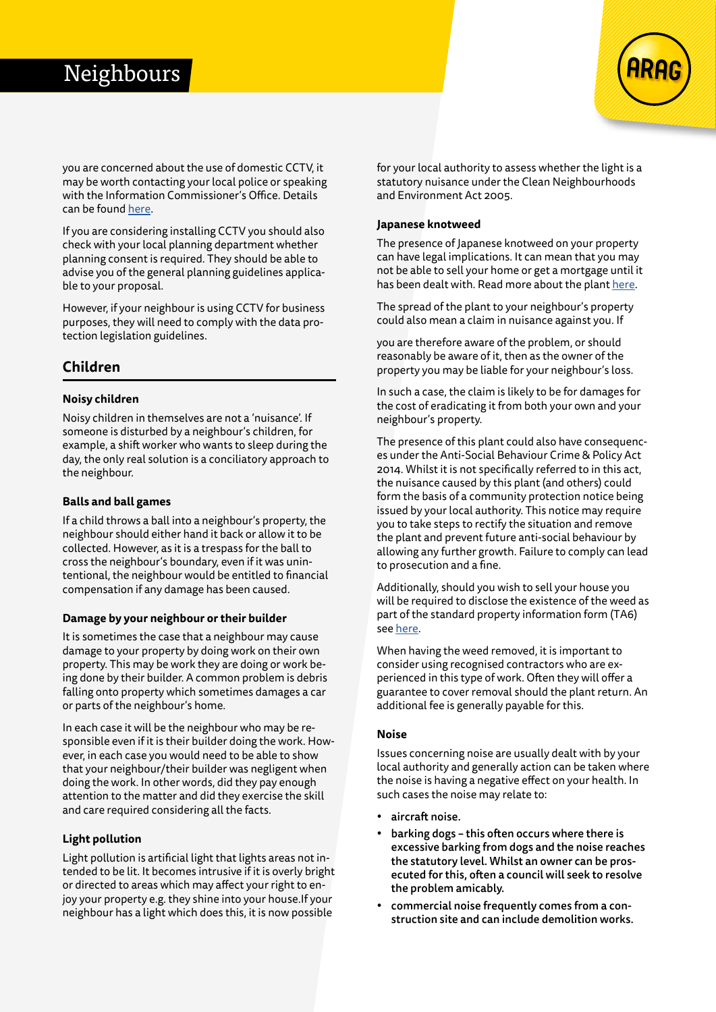# Neighbours



you are concerned about the use of domestic CCTV, it may be worth contacting your local police or speaking with the Information Commissioner's Office. Details can be found [here](https://ico.org.uk/global/contact-us/).

If you are considering installing CCTV you should also check with your local planning department whether planning consent is required. They should be able to advise you of the general planning guidelines applicable to your proposal.

However, if your neighbour is using CCTV for business purposes, they will need to comply with the data protection legislation guidelines.

# **Children**

## **Noisy children**

Noisy children in themselves are not a 'nuisance'. If someone is disturbed by a neighbour's children, for example, a shift worker who wants to sleep during the day, the only real solution is a conciliatory approach to the neighbour.

#### **Balls and ball games**

If a child throws a ball into a neighbour's property, the neighbour should either hand it back or allow it to be collected. However, as it is a trespass for the ball to cross the neighbour's boundary, even if it was unintentional, the neighbour would be entitled to financial compensation if any damage has been caused.

#### **Damage by your neighbour or their builder**

It is sometimes the case that a neighbour may cause damage to your property by doing work on their own property. This may be work they are doing or work being done by their builder. A common problem is debris falling onto property which sometimes damages a car or parts of the neighbour's home.

In each case it will be the neighbour who may be responsible even if it is their builder doing the work. However, in each case you would need to be able to show that your neighbour/their builder was negligent when doing the work. In other words, did they pay enough attention to the matter and did they exercise the skill and care required considering all the facts.

### **Light pollution**

Light pollution is artificial light that lights areas not intended to be lit. It becomes intrusive if it is overly bright or directed to areas which may affect your right to enjoy your property e.g. they shine into your house.If your neighbour has a light which does this, it is now possible

for your local authority to assess whether the light is a statutory nuisance under the Clean Neighbourhoods and Environment Act 2005.

#### **Japanese knotweed**

The presence of Japanese knotweed on your property can have legal implications. It can mean that you may not be able to sell your home or get a mortgage until it has been dealt with. Read more about the plant [here](https://www.cabi.org/japaneseknotweedalliance).

The spread of the plant to your neighbour's property could also mean a claim in nuisance against you. If

you are therefore aware of the problem, or should reasonably be aware of it, then as the owner of the property you may be liable for your neighbour's loss.

In such a case, the claim is likely to be for damages for the cost of eradicating it from both your own and your neighbour's property.

The presence of this plant could also have consequences under the Anti-Social Behaviour Crime & Policy Act 2014. Whilst it is not specifically referred to in this act, the nuisance caused by this plant (and others) could form the basis of a community protection notice being issued by your local authority. This notice may require you to take steps to rectify the situation and remove the plant and prevent future anti-social behaviour by allowing any further growth. Failure to comply can lead to prosecution and a fine.

Additionally, should you wish to sell your house you will be required to disclose the existence of the weed as part of the standard property information form (TA6) see [here.](https://www.lawsociety.org.uk/topics/property/transaction-forms)

When having the weed removed, it is important to consider using recognised contractors who are experienced in this type of work. Often they will offer a guarantee to cover removal should the plant return. An additional fee is generally payable for this.

#### **Noise**

Issues concerning noise are usually dealt with by your local authority and generally action can be taken where the noise is having a negative effect on your health. In such cases the noise may relate to:

- aircraft noise.
- barking dogs this often occurs where there is excessive barking from dogs and the noise reaches the statutory level. Whilst an owner can be prosecuted for this, often a council will seek to resolve the problem amicably.
- commercial noise frequently comes from a construction site and can include demolition works.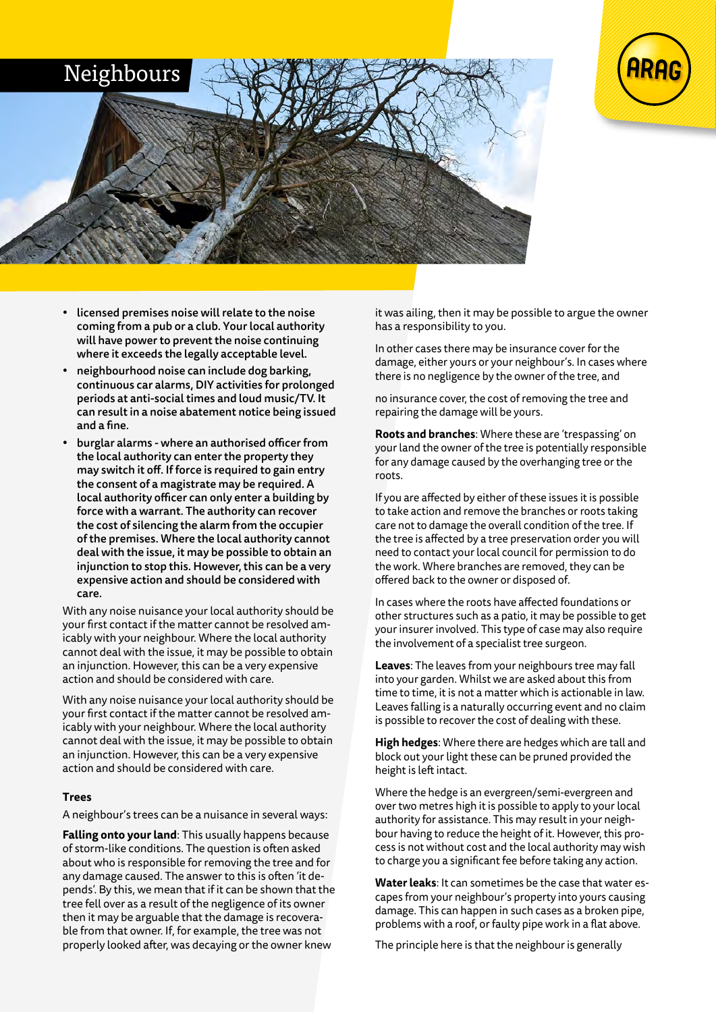



- licensed premises noise will relate to the noise coming from a pub or a club. Your local authority will have power to prevent the noise continuing where it exceeds the legally acceptable level.
- neighbourhood noise can include dog barking, continuous car alarms, DIY activities for prolonged periods at anti-social times and loud music/TV. It can result in a noise abatement notice being issued and a fine.
- burglar alarms where an authorised officer from the local authority can enter the property they may switch it off. If force is required to gain entry the consent of a magistrate may be required. A local authority officer can only enter a building by force with a warrant. The authority can recover the cost of silencing the alarm from the occupier of the premises. Where the local authority cannot deal with the issue, it may be possible to obtain an injunction to stop this. However, this can be a very expensive action and should be considered with care.

With any noise nuisance your local authority should be your first contact if the matter cannot be resolved amicably with your neighbour. Where the local authority cannot deal with the issue, it may be possible to obtain an injunction. However, this can be a very expensive action and should be considered with care.

With any noise nuisance your local authority should be your first contact if the matter cannot be resolved amicably with your neighbour. Where the local authority cannot deal with the issue, it may be possible to obtain an injunction. However, this can be a very expensive action and should be considered with care.

### **Trees**

A neighbour's trees can be a nuisance in several ways:

**Falling onto your land**: This usually happens because of storm-like conditions. The question is often asked about who is responsible for removing the tree and for any damage caused. The answer to this is often 'it depends'. By this, we mean that if it can be shown that the tree fell over as a result of the negligence of its owner then it may be arguable that the damage is recoverable from that owner. If, for example, the tree was not properly looked after, was decaying or the owner knew

it was ailing, then it may be possible to argue the owner has a responsibility to you.

In other cases there may be insurance cover for the damage, either yours or your neighbour's. In cases where there is no negligence by the owner of the tree, and

no insurance cover, the cost of removing the tree and repairing the damage will be yours.

**Roots and branches**: Where these are 'trespassing' on your land the owner of the tree is potentially responsible for any damage caused by the overhanging tree or the roots.

If you are affected by either of these issues it is possible to take action and remove the branches or roots taking care not to damage the overall condition of the tree. If the tree is affected by a tree preservation order you will need to contact your local council for permission to do the work. Where branches are removed, they can be offered back to the owner or disposed of.

In cases where the roots have affected foundations or other structures such as a patio, it may be possible to get your insurer involved. This type of case may also require the involvement of a specialist tree surgeon.

**Leaves**: The leaves from your neighbours tree may fall into your garden. Whilst we are asked about this from time to time, it is not a matter which is actionable in law. Leaves falling is a naturally occurring event and no claim is possible to recover the cost of dealing with these.

**High hedges**: Where there are hedges which are tall and block out your light these can be pruned provided the height is left intact.

Where the hedge is an evergreen/semi-evergreen and over two metres high it is possible to apply to your local authority for assistance. This may result in your neighbour having to reduce the height of it. However, this process is not without cost and the local authority may wish to charge you a significant fee before taking any action.

**Water leaks**: It can sometimes be the case that water escapes from your neighbour's property into yours causing damage. This can happen in such cases as a broken pipe, problems with a roof, or faulty pipe work in a flat above.

The principle here is that the neighbour is generally